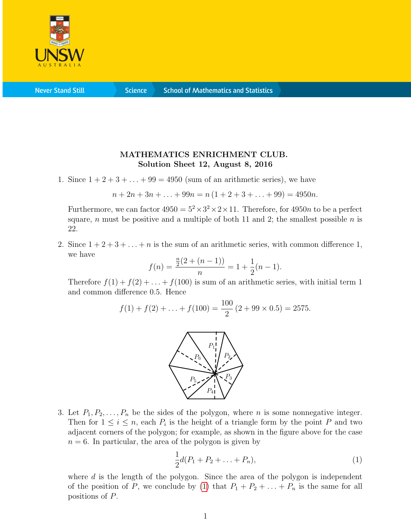

**Never Stand Still** 

**Science** 

## MATHEMATICS ENRICHMENT CLUB. Solution Sheet 12, August 8, 2016

1. Since  $1+2+3+\ldots+99=4950$  (sum of an arithmetic series), we have

$$
n + 2n + 3n + \ldots + 99n = n(1 + 2 + 3 + \ldots + 99) = 4950n.
$$

Furthermore, we can factor  $4950 = 5^2 \times 3^2 \times 2 \times 11$ . Therefore, for  $4950n$  to be a perfect square, n must be positive and a multiple of both 11 and 2; the smallest possible  $n$  is 22.

2. Since  $1+2+3+\ldots+n$  is the sum of an arithmetic series, with common difference 1, we have

$$
f(n) = \frac{\frac{n}{2}(2 + (n-1))}{n} = 1 + \frac{1}{2}(n-1).
$$

Therefore  $f(1) + f(2) + \ldots + f(100)$  is sum of an arithmetic series, with initial term 1 and common difference 0.5. Hence

$$
f(1) + f(2) + \ldots + f(100) = \frac{100}{2} (2 + 99 \times 0.5) = 2575.
$$



3. Let  $P_1, P_2, \ldots, P_n$  be the sides of the polygon, where *n* is some nonnegative integer. Then for  $1 \leq i \leq n$ , each  $P_i$  is the height of a triangle form by the point P and two adjacent corners of the polygon; for example, as shown in the figure above for the case  $n = 6$ . In particular, the area of the polygon is given by

<span id="page-0-0"></span>
$$
\frac{1}{2}d(P_1 + P_2 + \ldots + P_n),\tag{1}
$$

where d is the length of the polygon. Since the area of the polygon is independent of the position of P, we conclude by [\(1\)](#page-0-0) that  $P_1 + P_2 + \ldots + P_n$  is the same for all positions of P.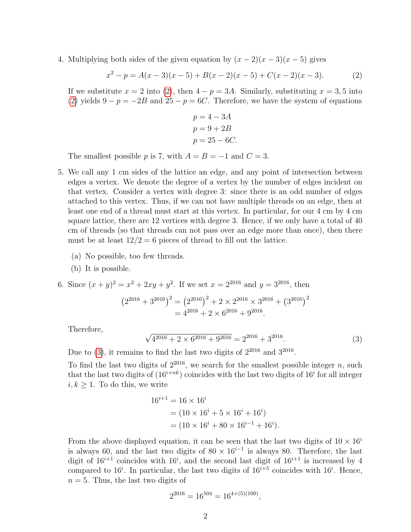4. Multiplying both sides of the given equation by  $(x - 2)(x - 3)(x - 5)$  gives

<span id="page-1-0"></span>
$$
x^{2} - p = A(x - 3)(x - 5) + B(x - 2)(x - 5) + C(x - 2)(x - 3).
$$
 (2)

If we substitute  $x = 2$  into [\(2\)](#page-1-0), then  $4 - p = 3A$ . Similarly, substituting  $x = 3, 5$  into [\(2\)](#page-1-0) yields  $9 - p = -2B$  and  $25 - p = 6C$ . Therefore, we have the system of equations

$$
p = 4 - 3A
$$

$$
p = 9 + 2B
$$

$$
p = 25 - 6C.
$$

The smallest possible p is 7, with  $A = B = -1$  and  $C = 3$ .

- 5. We call any 1 cm sides of the lattice an edge, and any point of intersection between edges a vertex. We denote the degree of a vertex by the number of edges incident on that vertex. Consider a vertex with degree 3: since there is an odd number of edges attached to this vertex. Thus, if we can not have multiple threads on an edge, then at least one end of a thread must start at this vertex. In particular, for our 4 cm by 4 cm square lattice, there are 12 vertices with degree 3. Hence, if we only have a total of 40 cm of threads (so that threads can not pass over an edge more than once), then there must be at least  $12/2 = 6$  pieces of thread to fill out the lattice.
	- (a) No possible, too few threads.
	- (b) It is possible.

6. Since 
$$
(x + y)^2 = x^2 + 2xy + y^2
$$
. If we set  $x = 2^{2016}$  and  $y = 3^{2016}$ , then  
\n
$$
(2^{2016} + 3^{2016})^2 = (2^{2016})^2 + 2 \times 2^{2016} \times 3^{2016} + (3^{2016})^2
$$
\n
$$
= 4^{2016} + 2 \times 6^{2016} + 9^{2016}.
$$

Therefore,

<span id="page-1-1"></span>
$$
\sqrt{4^{2016} + 2 \times 6^{2016} + 9^{2016}} = 2^{2016} + 3^{2016}.
$$
 (3)

Due to  $(3)$ , it remains to find the last two digits of  $2^{2016}$  and  $3^{2016}$ .

To find the last two digits of  $2^{2016}$ , we search for the smallest possible integer n, such that the last two digits of  $(16^{i+nk})$  coincides with the last two digits of  $16^i$  for all integer  $i, k \geq 1$ . To do this, we write

$$
16^{i+1} = 16 \times 16^i
$$
  
=  $(10 \times 16^i + 5 \times 16^i + 16^i)$   
=  $(10 \times 16^i + 80 \times 16^{i-1} + 16^i).$ 

From the above displayed equation, it can be seen that the last two digits of  $10 \times 16<sup>i</sup>$ is always 60, and the last two digits of  $80 \times 16^{i-1}$  is always 80. Therefore, the last digit of  $16^{i+1}$  coincides with  $16^i$ , and the second last digit of  $16^{i+1}$  is increased by 4 compared to  $16^i$ . In particular, the last two digits of  $16^{i+5}$  coincides with  $16^i$ . Hence,  $n = 5$ . Thus, the last two digits of

$$
2^{2016} = 16^{504} = 16^{4+(5)(100)},
$$